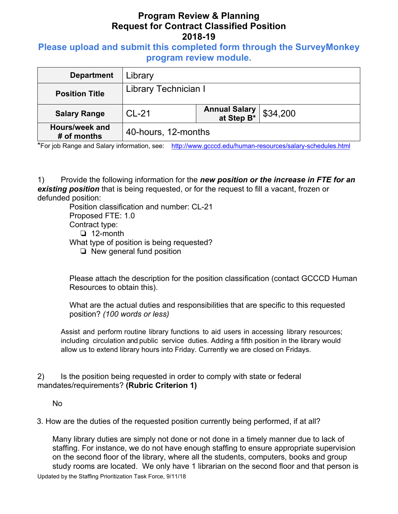# **Program Review & Planning Request for Contract Classified Position 2018-19**

### **Please upload and submit this completed form through the SurveyMonkey program review module.**

| <b>Department</b>             | Library              |                                     |                  |
|-------------------------------|----------------------|-------------------------------------|------------------|
| <b>Position Title</b>         | Library Technician I |                                     |                  |
| <b>Salary Range</b>           | $CL-21$              | <b>Annual Salary<br/>at Step B*</b> | $\vert$ \$34,200 |
| Hours/week and<br># of months | 40-hours, 12-months  |                                     |                  |

\*For job Range and Salary information, see: http://www.gcccd.edu/human-resources/salary-schedules.html

1) Provide the following information for the *new position or the increase in FTE for an existing position* that is being requested, or for the request to fill a vacant, frozen or defunded position:

Position classification and number: CL-21 Proposed FTE: 1.0 Contract type: ❏ 12-month What type of position is being requested? ❏ New general fund position

Please attach the description for the position classification (contact GCCCD Human Resources to obtain this).

What are the actual duties and responsibilities that are specific to this requested position? *(100 words or less)* 

Assist and perform routine library functions to aid users in accessing library resources; including circulation and public service duties. Adding a fifth position in the library would allow us to extend library hours into Friday. Currently we are closed on Fridays.

2) Is the position being requested in order to comply with state or federal mandates/requirements? **(Rubric Criterion 1)** 

No

3. How are the duties of the requested position currently being performed, if at all?

Many library duties are simply not done or not done in a timely manner due to lack of staffing. For instance, we do not have enough staffing to ensure appropriate supervision on the second floor of the library, where all the students, computers, books and group study rooms are located. We only have 1 librarian on the second floor and that person is

Updated by the Staffing Prioritization Task Force, 9/11/18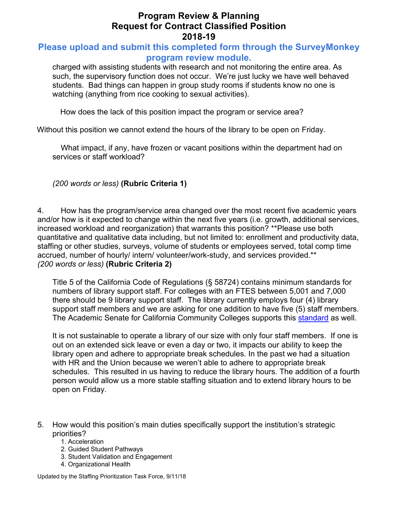## **Program Review & Planning Request for Contract Classified Position 2018-19**

### **Please upload and submit this completed form through the SurveyMonkey program review module.**

charged with assisting students with research and not monitoring the entire area. As such, the supervisory function does not occur. We're just lucky we have well behaved students. Bad things can happen in group study rooms if students know no one is watching (anything from rice cooking to sexual activities).

How does the lack of this position impact the program or service area?

Without this position we cannot extend the hours of the library to be open on Friday.

What impact, if any, have frozen or vacant positions within the department had on services or staff workload?

*(200 words or less)* **(Rubric Criteria 1)**

4. How has the program/service area changed over the most recent five academic years and/or how is it expected to change within the next five years (i.e. growth, additional services, increased workload and reorganization) that warrants this position? \*\*Please use both quantitative and qualitative data including, but not limited to: enrollment and productivity data, staffing or other studies, surveys, volume of students or employees served, total comp time accrued, number of hourly/ intern/ volunteer/work-study, and services provided.\*\* *(200 words or less)* **(Rubric Criteria 2)**

Title 5 of the California Code of Regulations (§ 58724) contains minimum standards for numbers of library support staff. For colleges with an FTES between 5,001 and 7,000 there should be 9 library support staff. The library currently employs four (4) library support staff members and we are asking for one addition to have five (5) staff members. The Academic Senate for California Community Colleges supports this standard as well.

It is not sustainable to operate a library of our size with only four staff members. If one is out on an extended sick leave or even a day or two, it impacts our ability to keep the library open and adhere to appropriate break schedules. In the past we had a situation with HR and the Union because we weren't able to adhere to appropriate break schedules. This resulted in us having to reduce the library hours. The addition of a fourth person would allow us a more stable staffing situation and to extend library hours to be open on Friday.

- 5. How would this position's main duties specifically support the institution's strategic priorities?
	- 1. Acceleration
	- 2. Guided Student Pathways
	- 3. Student Validation and Engagement
	- 4. Organizational Health

Updated by the Staffing Prioritization Task Force, 9/11/18